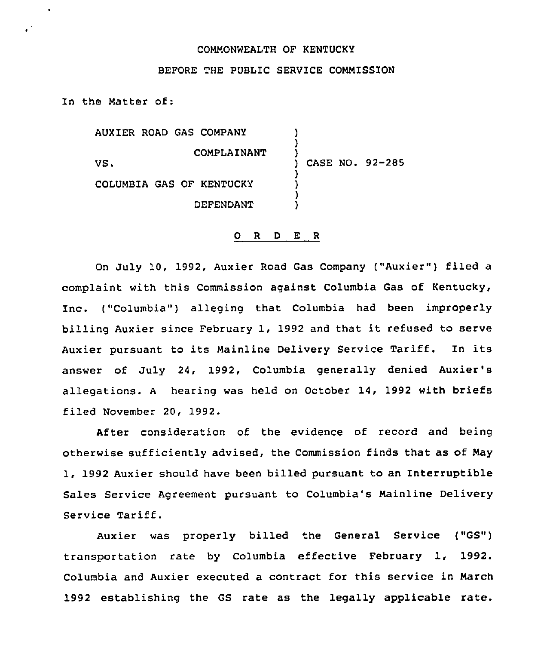## COMMONWEALTH OF KENTUCKY

## BEFORE THE PUBLIC SERVICE COMMISSION

In the Matter of:

AUXIER ROAD GAS COMPANY COMPLAINANT VS. COLUMBIA GAS OF KENTUCKY DEFENDANT ) ) ) ) CASE NO. 92-285 ) ) ) )

## 0 <sup>R</sup> <sup>D</sup> E <sup>R</sup>

On July 10, 1992, Auxier Road Gas Company ("Auxier") filed a complaint with this Commission against Columbia Gas of Kentucky, Inc. ("Columbia") alleging that Columbia had been improperly billing Auxier since February 1, 1992 and that it refused to serve Auxier pursuant to its Mainline Delivery Service Tariff. In its answer of July 24, 1992, Columbia generally denied Auxier's allegations. <sup>A</sup> hearing was held on October 14, 1992 with briefs filed November 20, 1992.

After consideration of the evidence of record and being otherwise sufficiently advised, the Commission finds that as of May 1, 1992 Auxier should have been billed pursuant to an Interruptible Sales Service Agreement pursuant to Columbia's Mainline Delivery Service Tariff.

Auxier was properly billed the General Service ("GS") transportation rate by Columbia effective February 1, 1992. Columbia and Auxier executed a contract for this service in March 1992 establishing the GS rate as the legally applicable rate.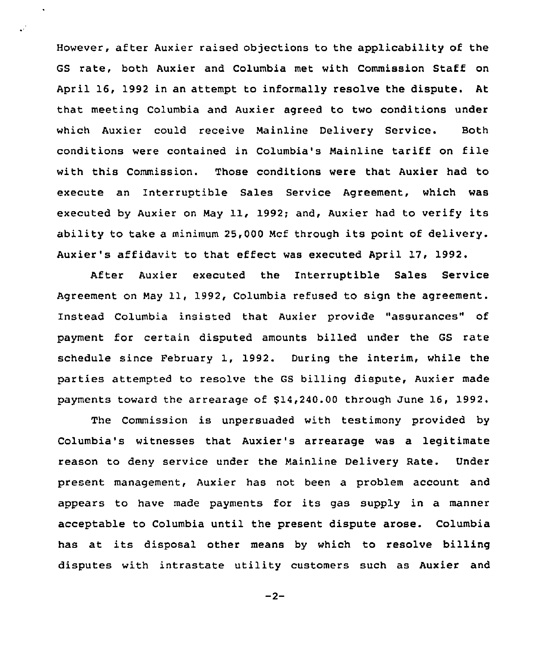However, after Auxier raised objections to the applicability of the GS rate, both Auxier and Columbia met with Commission Staff on April 16, 1992 in an attempt to informally resolve the dispute. At that meeting Columbia and Auxier agreed to two conditions under which Auxier could receive Mainline Delivery Service. Both conditions were contained in Columbia's Mainline tariff on file with this Commission. Those conditions were that Auxier had to execute an Interruptible Sales Service Agreement, which was executed by Auxier on May 11, 1992; and, Auxier had to verify its ability to take <sup>a</sup> minimum 25,000 Mcf through its point of delivery. Auxier's affidavit to that effect was executed April 17, 1992.

 $\ddot{\phantom{a}}$ 

After Auxier executed the Interruptible Sales Service Agreement on May 11, 1992, Columbia refused to sign the agreement. Instead Columbia insisted that Auxier provide "assurances" of payment for certain disputed amounts billed under the GS rate schedule since February 1, 1992. During the interim, while the parties attempted to resolve the GS billing dispute, Auxier made payments toward the arrearage of 614,240.00 through June 16, 1992.

The Commission is unpersuaded with testimony provided by Columbia's witnesses that Auxier's arrearage was a legitimate reason to deny service under the Mainline Delivery Rate. Under present management, Auxier has not been a problem account and appears to have made payments for its gas supply in a manner acceptable to Columbia until the present dispute arose. Columbia has at its disposal other means by which to resolve billing disputes with intrastate utility customers such as Auxier and

 $-2-$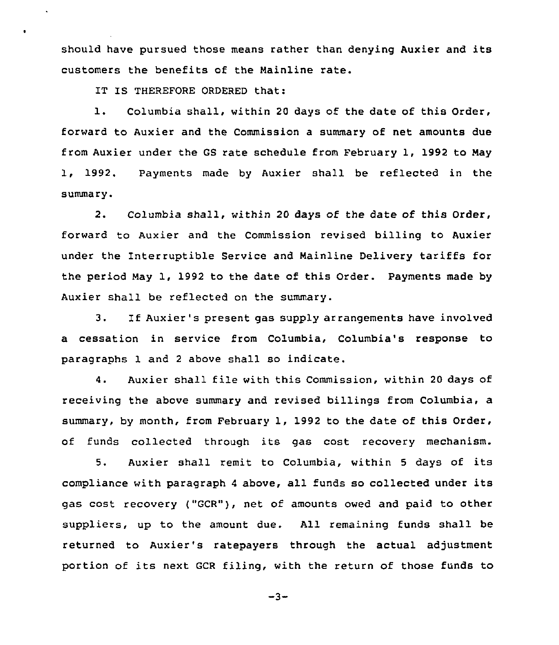should have pursued those means rather than denying Auxier and its customers the benefits of the Mainline rate.

IT IS THEREFORE ORDERED that:

1. Columbia shall, within <sup>20</sup> days of the date of this Order, forward to Auxier and the Commission a summary of net amounts due from Auxier under the GS rate schedule from February 1, 1992 to May 1, 1992. Payments made by Auxier shall be reflected in the summary.

2. Columbia shall, within 20 days of the date of this Order, forward to Auxier and the Commission revised billing to Auxier under the Interruptible Service and Mainline Delivery tariffs for the period May 1, 1992 to the date of this Order. Payments made by Auxier shall be reflected on the summary.

3. If Auxier's present gas supply arrangements have involved a cessation in service from Columbia, Columbia's response to paragraphs 1 and <sup>2</sup> above shall so indicate.

4. Auxier shall file with this Commission, within <sup>20</sup> days of receiving the above summary and revised billings from Columbia, a summary, by month, from February 1, 1992 to the date of this Order, of funds collected through its gas cost recovery mechanism.

5. Auxier shall remit to Columbia, within 5 days of its compliance with paragraph <sup>4</sup> above, all funds so collected under its gas cost recovery ("GCR"), net of amounts owed and paid to other suppliers, up to the amount due. All remaining funds shall be returned to Auxier's ratepayers through the actual adjustment portion of its next GCR filing, with the return of those funds to

$$
-3 -
$$